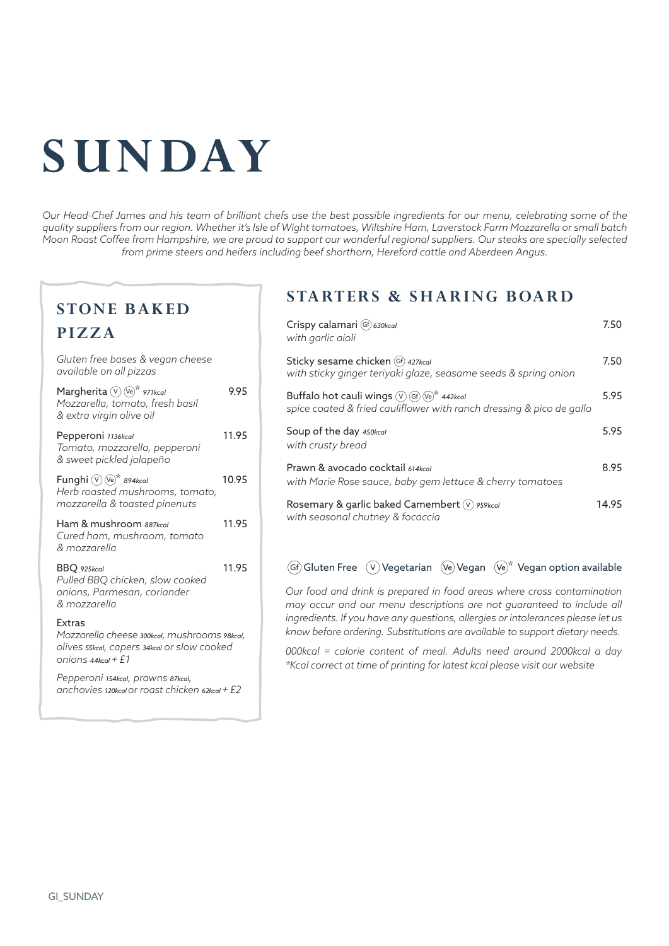# **SUNDAY**

*Our Head-Chef James and his team of brilliant chefs use the best possible ingredients for our menu, celebrating some of the quality suppliers from our region. Whether it's Isle of Wight tomatoes, Wiltshire Ham, Laverstock Farm Mozzarella or small batch Moon Roast Coffee from Hampshire, we are proud to support our wonderful regional suppliers. Our steaks are specially selected from prime steers and heifers including beef shorthorn, Hereford cattle and Aberdeen Angus.*

### **STONE BAKED**

## **PIZZA**

| Gluten free bases & vegan cheese<br>available on all pizzas                                                                        |       |
|------------------------------------------------------------------------------------------------------------------------------------|-------|
| Margherita $(\overline{V})$ $(\overline{V}\text{e})^*$ 971kcal<br>Mozzarella, tomato, fresh basil<br>& extra virgin olive oil      | 9.95  |
| Pepperoni 1136kcal<br>Tomato, mozzarella, pepperoni<br>& sweet pickled jalapeño                                                    | 11.95 |
| Funghi $(\sqrt{v})$ (Ve)* 894kcal<br>Herb roasted mushrooms, tomato,<br>mozzarella & toasted pinenuts                              | 10.95 |
| Ham & mushroom 887kcal<br>Cured ham, mushroom, tomato<br>& mozzarella                                                              | 11.95 |
| BBQ 925kcal<br>Pulled BBQ chicken, slow cooked<br>onions, Parmesan, coriander<br>& mozzarella                                      | 11.95 |
| Extras<br>Mozzarella cheese 300kcal, mushrooms 98kcal,<br>olives 55kcal, capers 34kcal or slow cooked<br>$onions$ 44 $kcol$ + $f1$ |       |
| Pepperoni 154kcal, prawns 87kcal,<br>anchovies 120kcal or roast chicken 62kcal + $E2$                                              |       |

## **STARTERS & SHARING BOARD**

| Crispy calamari (Gf) 630kcal<br>with garlic aioli                                                                                        | 7.50  |
|------------------------------------------------------------------------------------------------------------------------------------------|-------|
| Sticky sesame chicken (Gf) 427kcal<br>with sticky ginger teriyaki glaze, seasame seeds & spring onion                                    | 7.50  |
| Buffalo hot cauli wings $(\sqrt{G})$ (Gf) $(\sqrt{e})^*$ 442kcal<br>spice coated & fried cauliflower with ranch dressing & pico de gallo | 5.95  |
| Soup of the day 450kcal<br>with crusty bread                                                                                             | 5.95  |
| Prawn & avocado cocktail 614kcal<br>with Marie Rose sauce, baby gem lettuce & cherry tomatoes                                            | 8.95  |
| Rosemary & garlic baked Camembert $(\vee)$ 959kcal<br>with seasonal chutney & focaccia                                                   | 14.95 |

#### $GF(G)$  Gluten Free  $\overline{(V)}$  Vegetarian  $\overline{(Ve)}$  Vegan  $\overline{(Ve)}^*$  Vegan option available

*Our food and drink is prepared in food areas where cross contamination may occur and our menu descriptions are not guaranteed to include all ingredients. If you have any questions, allergies or intolerances please let us know before ordering. Substitutions are available to support dietary needs.*

*000kcal = calorie content of meal. Adults need around 2000kcal a day \*Kcal correct at time of printing for latest kcal please visit our website*